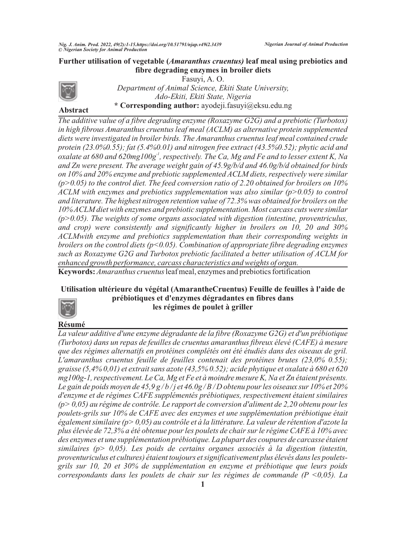## **Further utilisation of vegetable (***Amaranthus cruentus)* **leaf meal using prebiotics and fibre degrading enzymes in broiler diets**

Fasuyi, A. O.



*Department of Animal Science, Ekiti State University, Ado-Ekiti, Ekiti State, Nigeria* **\* Corresponding author:** ayodeji.fasuyi@eksu.edu.ng

# **Abstract**

*The additive value of a fibre degrading enzyme (Roxazyme G2G) and a prebiotic (Turbotox) in high fibrous Amaranthus cruentus leaf meal (ACLM) as alternative protein supplemented diets were investigated in broiler birds. The Amaranthus cruentus leaf meal contained crude protein (23.0%0.55); fat (5.4%0.01) and nitrogen free extract (43.5%0.52); phytic acid and -1 oxalate at 680 and 620mg100g , respectively. The Ca, Mg and Fe and to lesser extent K, Na and Zn were present. The average weight gain of 45.9g/b/d and 46.0g/b/d obtained for birds on 10% and 20% enzyme and prebiotic supplemented ACLM diets, respectively were similar (p>0.05) to the control diet. The feed conversion ratio of 2.20 obtained for broilers on 10% ACLM with enzymes and prebiotics supplementation was also similar (p>0.05) to control and literature. The highest nitrogen retention value of 72.3% was obtained for broilers on the 10% ACLM diet with enzymes and prebiotic supplementation. Most carcass cuts were similar (p>0.05). The weights of some organs associated with digestion (intestine, proventriculus, and crop) were consistently and significantly higher in broilers on 10, 20 and 30% ACLMwith enzyme and prebiotics supplementation than their corresponding weights in broilers on the control diets (p<0.05). Combination of appropriate fibre degrading enzymes such as Roxazyme G2G and Turbotox prebiotic facilitated a better utilisation of ACLM for enhanced growth performance, carcass characteristics and weights of organ.*

**Keywords:** *Amaranthus cruentus*leaf meal, enzymes and prebiotics fortification

## **Utilisation ultérieure du végétal (AmarantheCruentus) Feuille de feuilles à l'aide de prébiotiques et d'enzymes dégradantes en fibres dans les régimes de poulet à griller**

# **Résumé**

*La valeur additive d'une enzyme dégradante de la fibre (Roxazyme G2G) et d'un prébiotique (Turbotox) dans un repas de feuilles de cruentus amaranthus fibreux élevé (CAFE) à mesure que des régimes alternatifs en protéines complétés ont été étudiés dans des oiseaux de gril. L'amaranthus cruentus feuille de feuilles contenait des protéines brutes (23,0% 0.55); graisse (5,4% 0,01) et extrait sans azote (43,5% 0.52); acide phytique et oxalate à 680 et 620 mg100g-1, respectivement. Le Ca, Mg et Fe et à moindre mesure K, Na et Zn étaient présents. Le gain de poids moyen de 45,9 g / b / j et 46.0g / B / D obtenu pour les oiseaux sur 10% et 20% d'enzyme et de régimes CAFE supplémentés prébiotiques, respectivement étaient similaires (p> 0,05) au régime de contrôle. Le rapport de conversion d'aliment de 2,20 obtenu pour les poulets-grils sur 10% de CAFE avec des enzymes et une supplémentation prébiotique était également similaire (p> 0,05) au contrôle et à la littérature. La valeur de rétention d'azote la plus élevée de 72,3% a été obtenue pour les poulets de chair sur le régime CAFE à 10% avec des enzymes et une supplémentation prébiotique. La plupart des coupures de carcasse étaient similaires (p> 0,05). Les poids de certains organes associés à la digestion (intestin, proventuriculus et cultures) étaient toujours et significativement plus élevés dans les pouletsgrils sur 10, 20 et 30% de supplémentation en enzyme et prébiotique que leurs poids correspondants dans les poulets de chair sur les régimes de commande (P <0,05). La*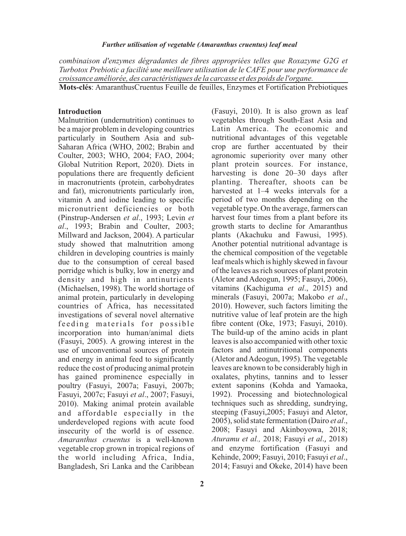#### *Further utilisation of vegetable (Amaranthus cruentus) leaf meal*

*combinaison d'enzymes dégradantes de fibres appropriées telles que Roxazyme G2G et Turbotox Prebiotic a facilité une meilleure utilisation de le CAFE pour une performance de croissance améliorée, des caractéristiques de la carcasse et des poids de l'organe.*

**Mots-clés**: AmaranthusCruentus Feuille de feuilles, Enzymes et Fortification Prebiotiques

### **Introduction**

Malnutrition (undernutrition) continues to be a major problem in developing countries particularly in Southern Asia and sub-Saharan Africa (WHO, 2002; Brabin and Coulter, 2003; WHO, 2004; FAO, 2004; Global Nutrition Report, 2020). Diets in populations there are frequently deficient in macronutrients (protein, carbohydrates and fat), micronutrients particularly iron, vitamin A and iodine leading to specific micronutrient deficiencies or both (Pinstrup-Andersen *et al*., 1993; Levin *et al*., 1993; Brabin and Coulter, 2003; Millward and Jackson, 2004). A particular study showed that malnutrition among children in developing countries is mainly due to the consumption of cereal based porridge which is bulky, low in energy and density and high in antinutrients (Michaelsen, 1998). The world shortage of animal protein, particularly in developing countries of Africa, has necessitated investigations of several novel alternative feeding materials for possible incorporation into human/animal diets (Fasuyi, 2005). A growing interest in the use of unconventional sources of protein and energy in animal feed to significantly reduce the cost of producing animal protein has gained prominence especially in poultry (Fasuyi, 2007a; Fasuyi, 2007b; Fasuyi, 2007c; Fasuyi *et al*., 2007; Fasuyi, 2010). Making animal protein available and affordable especially in the underdeveloped regions with acute food insecurity of the world is of essence. *Amaranthus cruentus* is a well-known vegetable crop grown in tropical regions of the world including Africa, India, Bangladesh, Sri Lanka and the Caribbean

(Fasuyi, 2010). It is also grown as leaf vegetables through South-East Asia and Latin America. The economic and nutritional advantages of this vegetable crop are further accentuated by their agronomic superiority over many other plant protein sources. For instance, harvesting is done 20–30 days after planting. Thereafter, shoots can be harvested at 1–4 weeks intervals for a period of two months depending on the vegetable type. On the average, farmers can harvest four times from a plant before its growth starts to decline for Amaranthus plants (Akachuku and Fawusi, 1995). Another potential nutritional advantage is the chemical composition of the vegetable leaf meals which is highly skewed in favour of the leaves as rich sources of plant protein (Aletor and Adeogun, 1995; Fasuyi, 2006), vitamins (Kachiguma *et al*., 2015) and minerals (Fasuyi, 2007a; Makobo *et al*., 2010). However, such factors limiting the nutritive value of leaf protein are the high fibre content (Oke, 1973; Fasuyi, 2010). The build-up of the amino acids in plant leaves is also accompanied with other toxic factors and antinutritional components (Aletor and Adeogun, 1995). The vegetable leaves are known to be considerably high in oxalates, phytins, tannins and to lesser extent saponins (Kohda and Yamaoka, 1992). Processing and biotechnological techniques such as shredding, sundrying, steeping (Fasuyi,2005; Fasuyi and Aletor, 2005), solid state fermentation (Dairo *et al*., 2008; Fasuyi and Akinboyowa, 2018; *Aturamu et al.,* 2018; Fasuyi *et al*., 2018) and enzyme fortification (Fasuyi and Kehinde, 2009; Fasuyi, 2010; Fasuyi *et al*., 2014; Fasuyi and Okeke, 2014) have been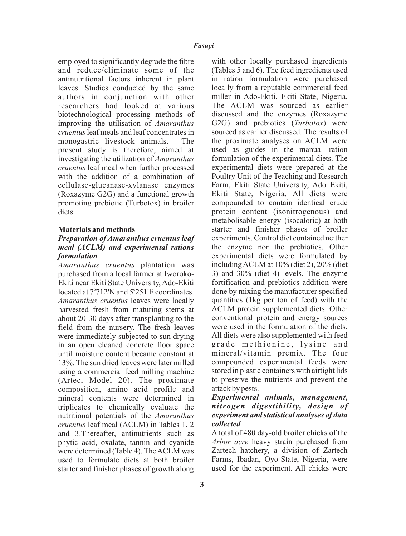employed to significantly degrade the fibre and reduce/eliminate some of the antinutritional factors inherent in plant leaves. Studies conducted by the same authors in conjunction with other researchers had looked at various biotechnological processing methods of improving the utilisation of *Amaranthus cruentus*leaf meals and leaf concentrates in monogastric livestock animals. The present study is therefore, aimed at investigating the utilization of *Amaranthus cruentus* leaf meal when further processed with the addition of a combination of cellulase-glucanase-xylanase enzymes (Roxazyme G2G) and a functional growth promoting prebiotic (Turbotox) in broiler diets.

### **Materials and methods**

### *Preparation of Amaranthus cruentus leaf meal (ACLM) and experimental rations formulation*

*Amaranthus cruentus* plantation was purchased from a local farmer at Iworoko-Ekiti near Ekiti State University, Ado-Ekiti located at  $7^{\circ}712'N$  and  $5^{\circ}251'E$  coordinates. *Amaranthus cruentus* leaves were locally harvested fresh from maturing stems at about 20-30 days after transplanting to the field from the nursery. The fresh leaves were immediately subjected to sun drying in an open cleaned concrete floor space until moisture content became constant at 13%. The sun dried leaves were later milled using a commercial feed milling machine (Artec, Model 20). The proximate composition, amino acid profile and mineral contents were determined in triplicates to chemically evaluate the nutritional potentials of the *Amaranthus cruentus* leaf meal (ACLM) in Tables 1, 2 and 3.Thereafter, antinutrients such as phytic acid, oxalate, tannin and cyanide were determined (Table 4). The ACLM was used to formulate diets at both broiler starter and finisher phases of growth along

with other locally purchased ingredients (Tables 5 and 6). The feed ingredients used in ration formulation were purchased locally from a reputable commercial feed miller in Ado-Ekiti, Ekiti State, Nigeria. The ACLM was sourced as earlier discussed and the enzymes (Roxazyme G2G) and prebiotics (*Turbotox*) were sourced as earlier discussed. The results of the proximate analyses on ACLM were used as guides in the manual ration formulation of the experimental diets. The experimental diets were prepared at the Poultry Unit of the Teaching and Research Farm, Ekiti State University, Ado Ekiti, Ekiti State, Nigeria. All diets were compounded to contain identical crude protein content (isonitrogenous) and metabolisable energy (isocaloric) at both starter and finisher phases of broiler experiments. Control diet contained neither the enzyme nor the prebiotics. Other experimental diets were formulated by including ACLM at 10% (diet 2), 20% (diet 3) and 30% (diet 4) levels. The enzyme fortification and prebiotics addition were done by mixing the manufacturer specified quantities (1kg per ton of feed) with the ACLM protein supplemented diets. Other conventional protein and energy sources were used in the formulation of the diets. All diets were also supplemented with feed grade methionine, lysine and mineral/vitamin premix. The four compounded experimental feeds were stored in plastic containers with airtight lids to preserve the nutrients and prevent the attack by pests.

### *Experimental animals, management, nitrogen digestibility, design of experiment and statistical analyses of data collected*

A total of 480 day-old broiler chicks of the *Arbor acre* heavy strain purchased from Zartech hatchery, a division of Zartech Farms, Ibadan, Oyo-State, Nigeria, were used for the experiment. All chicks were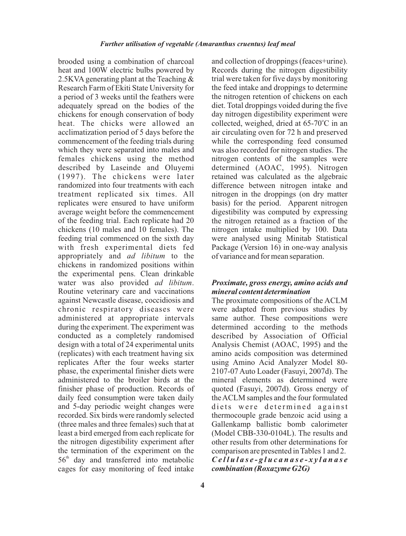brooded using a combination of charcoal heat and 100W electric bulbs powered by 2.5KVA generating plant at the Teaching  $&$ Research Farm of Ekiti State University for a period of 3 weeks until the feathers were adequately spread on the bodies of the chickens for enough conservation of body heat. The chicks were allowed an acclimatization period of 5 days before the commencement of the feeding trials during which they were separated into males and females chickens using the method described by Laseinde and Oluyemi (1997). The chickens were later randomized into four treatments with each treatment replicated six times. All replicates were ensured to have uniform average weight before the commencement of the feeding trial. Each replicate had 20 chickens (10 males and 10 females). The feeding trial commenced on the sixth day with fresh experimental diets fed appropriately and *ad libitum* to the chickens in randomized positions within the experimental pens. Clean drinkable water was also provided *ad libitum*. Routine veterinary care and vaccinations against Newcastle disease, coccidiosis and chronic respiratory diseases were administered at appropriate intervals during the experiment. The experiment was conducted as a completely randomised design with a total of 24 experimental units (replicates) with each treatment having six replicates After the four weeks starter phase, the experimental finisher diets were administered to the broiler birds at the finisher phase of production. Records of daily feed consumption were taken daily and 5-day periodic weight changes were recorded. Six birds were randomly selected (three males and three females) such that at least a bird emerged from each replicate for the nitrogen digestibility experiment after the termination of the experiment on the  $56<sup>th</sup>$  day and transferred into metabolic cages for easy monitoring of feed intake

and collection of droppings (feaces+urine). Records during the nitrogen digestibility trial were taken for five days by monitoring the feed intake and droppings to determine the nitrogen retention of chickens on each diet. Total droppings voided during the five day nitrogen digestibility experiment were collected, weighed, dried at 65-70°C in an air circulating oven for 72 h and preserved while the corresponding feed consumed was also recorded for nitrogen studies. The nitrogen contents of the samples were determined (AOAC, 1995). Nitrogen retained was calculated as the algebraic difference between nitrogen intake and nitrogen in the droppings (on dry matter basis) for the period. Apparent nitrogen digestibility was computed by expressing the nitrogen retained as a fraction of the nitrogen intake multiplied by 100. Data were analysed using Minitab Statistical Package (Version 16) in one-way analysis of variance and for mean separation.

### *Proximate, gross energy, amino acids and mineral content determination*

The proximate compositions of the ACLM were adapted from previous studies by same author. These compositions were determined according to the methods described by Association of Official Analysis Chemist (AOAC, 1995) and the amino acids composition was determined using Amino Acid Analyzer Model 80- 2107-07 Auto Loader (Fasuyi, 2007d). The mineral elements as determined were quoted (Fasuyi, 2007d). Gross energy of the ACLM samples and the four formulated diets were determined against thermocouple grade benzoic acid using a Gallenkamp ballistic bomb calorimeter (Model CBB-330-0104L). The results and other results from other determinations for comparison are presented in Tables 1 and 2.  $Cellulas e-glucanas e - xylanas e$ *combination (Roxazyme G2G)*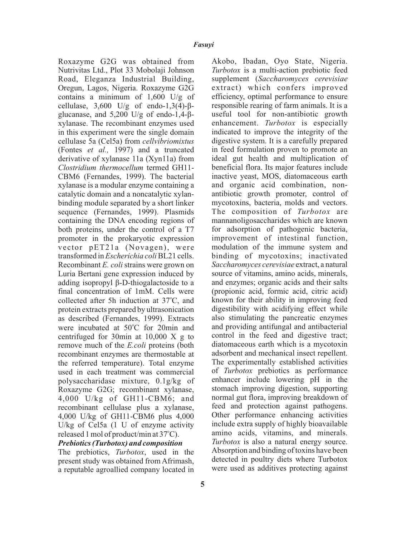Roxazyme G2G was obtained from Nutrivitas Ltd., Plot 33 Mobolaji Johnson Road, Eleganza Industrial Building, Oregun, Lagos, Nigeria. Roxazyme G2G contains a minimum of  $1,600$  U/g of cellulase,  $3,600$  U/g of endo-1,3(4)- $\beta$ glucanase, and  $5,200$  U/g of endo-1,4- $\beta$ xylanase. The recombinant enzymes used in this experiment were the single domain cellulase 5a (Cel5a) from *cellvibriomixtus* (Fontes *et al.,* 1997) and a truncated derivative of xylanase 11a (Xyn11a) from *Clostridium thermocellum* termed GH11- CBM6 (Fernandes, 1999). The bacterial xylanase is a modular enzyme containing a catalytic domain and a noncatalytic xylanbinding module separated by a short linker sequence (Fernandes, 1999). Plasmids containing the DNA encoding regions of both proteins, under the control of a T7 promoter in the prokaryotic expression vector pET21a (Novagen), were transformed in *Escherichia coli*BL21 cells. Recombinant *E. coli* strains were grown on Luria Bertani gene expression induced by adding isopropyl  $\beta$ -D-thiogalactoside to a final concentration of 1mM. Cells were collected after 5h induction at 37°C, and protein extracts prepared by ultrasonication as described (Fernandes, 1999). Extracts were incubated at  $50^{\circ}$ C for 20min and centrifuged for 30min at 10,000 X g to remove much of the *E.coli* proteins (both recombinant enzymes are thermostable at the referred temperature). Total enzyme used in each treatment was commercial polysaccharidase mixture, 0.1g/kg of Roxazyme G2G; recombinant xylanase, 4,000 U/kg of GH11-CBM6; and recombinant cellulase plus a xylanase, 4,000 U/kg of GH11-CBM6 plus 4,000 U/kg of Cel5a (1 U of enzyme activity released 1 mol of product/min at 37°C).

### *Prebiotics (Turbotox) and composition*

The prebiotics, *Turbotox*, used in the present study was obtained from Afrimash, a reputable agroallied company located in Akobo, Ibadan, Oyo State, Nigeria. *Turbotox* is a multi-action prebiotic feed supplement (*Saccharomyces cerevisiae* extract) which confers improved efficiency, optimal performance to ensure responsible rearing of farm animals. It is a useful tool for non-antibiotic growth enhancement. *Turbotox* is especially indicated to improve the integrity of the digestive system. It is a carefully prepared in feed formulation proven to promote an ideal gut health and multiplication of beneficial flora. Its major features include inactive yeast, MOS, diatomaceous earth and organic acid combination, nonantibiotic growth promoter, control of mycotoxins, bacteria, molds and vectors. The composition of *Turbotox* are mannanoligosaccharides which are known for adsorption of pathogenic bacteria, improvement of intestinal function, modulation of the immune system and binding of mycotoxins; inactivated *Saccharomyces cerevisiae* extract, a natural source of vitamins, amino acids, minerals, and enzymes; organic acids and their salts (propionic acid, formic acid, citric acid) known for their ability in improving feed digestibility with acidifying effect while also stimulating the pancreatic enzymes and providing antifungal and antibacterial control in the feed and digestive tract; diatomaceous earth which is a mycotoxin adsorbent and mechanical insect repellent. The experimentally established activities of *Turbotox* prebiotics as performance enhancer include lowering pH in the stomach improving digestion, supporting normal gut flora, improving breakdown of feed and protection against pathogens. Other performance enhancing activities include extra supply of highly bioavailable amino acids, vitamins, and minerals. *Turbotox* is also a natural energy source. Absorption and binding of toxins have been detected in poultry diets where Turbotox were used as additives protecting against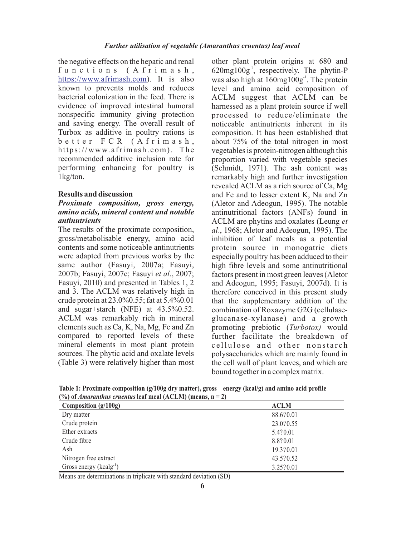the negative effects on the hepatic and renal functions (Afrimash, https://www.afrimash.com). It is also known to prevents molds and reduces bacterial colonization in the feed. There is evidence of improved intestinal humoral nonspecific immunity giving protection and saving energy. The overall result of Turbox as additive in poultry rations is b e t t e r F C R (A f r i m a s h,  $https://www.afrimash.com)$ . The recommended additive inclusion rate for performing enhancing for poultry is 1kg/ton.

#### **Results and discussion**

### *Proximate composition, gross energy, amino acids, mineral content and notable antinutrients*

The results of the proximate composition, gross/metabolisable energy, amino acid contents and some noticeable antinutrients were adapted from previous works by the same author (Fasuyi, 2007a; Fasuyi, 2007b; Fasuyi, 2007c; Fasuyi *et al*., 2007; Fasuyi, 2010) and presented in Tables 1, 2 and 3. The ACLM was relatively high in crude protein at 23.0%0.55; fat at 5.4%0.01 and sugar+starch (NFE) at 43.5%0.52. ACLM was remarkably rich in mineral elements such as Ca, K, Na, Mg, Fe and Zn compared to reported levels of these mineral elements in most plant protein sources. The phytic acid and oxalate levels (Table 3) were relatively higher than most other plant protein origins at 680 and  $620$ mg $100g<sup>-1</sup>$ , respectively. The phytin-P was also high at  $160$ mg $100g<sup>-1</sup>$ . The protein level and amino acid composition of ACLM suggest that ACLM can be harnessed as a plant protein source if well processed to reduce/eliminate the noticeable antinutrients inherent in its composition. It has been established that about 75% of the total nitrogen in most vegetables is protein-nitrogen although this proportion varied with vegetable species (Schmidt, 1971). The ash content was remarkably high and further investigation revealed ACLM as a rich source of Ca, Mg and Fe and to lesser extent K, Na and Zn (Aletor and Adeogun, 1995). The notable antinutritional factors (ANFs) found in ACLM are phytins and oxalates (Leung *et al*., 1968; Aletor and Adeogun, 1995). The inhibition of leaf meals as a potential protein source in monogatric diets especially poultry has been adduced to their high fibre levels and some antinutritional factors present in most green leaves (Aletor and Adeogun, 1995; Fasuyi, 2007d). It is therefore conceived in this present study that the supplementary addition of the combination of Roxazyme G2G (cellulaseglucanase-xylanase) and a growth promoting prebiotic (*Turbotox)* would further facilitate the breakdown of cellulose and other nonstarch polysaccharides which are mainly found in the cell wall of plant leaves, and which are bound together in a complex matrix.

| $\mathcal{L}_{\mathcal{L}}$ of them when $\mathcal{L}_{\mathcal{L}}$ . The set of the set of the set of the set of the set of the set of the set of the set of the set of the set of the set of the set of the set of the set of the set of the set of |             |
|--------------------------------------------------------------------------------------------------------------------------------------------------------------------------------------------------------------------------------------------------------|-------------|
| Composition (g/100g)                                                                                                                                                                                                                                   | <b>ACLM</b> |
| Dry matter                                                                                                                                                                                                                                             | 88.6?0.01   |
| Crude protein                                                                                                                                                                                                                                          | 23.0?0.55   |
| Ether extracts                                                                                                                                                                                                                                         | 5.4?0.01    |
| Crude fibre                                                                                                                                                                                                                                            | 8.8?0.01    |
| Ash                                                                                                                                                                                                                                                    | 19.3?0.01   |
| Nitrogen free extract                                                                                                                                                                                                                                  | 43.5?0.52   |
| Gross energy ( $kcalg}^{1}$ )                                                                                                                                                                                                                          | 3.25?0.01   |

**Table 1: Proximate composition (g/100g dry matter), gross energy (kcal/g) and amino acid profile**  $(0)$  of *Amaranthus cruentus* leaf meal  $(ACIM)$  (means,  $n = 2$ )

Means are determinations in triplicate with standard deviation (SD)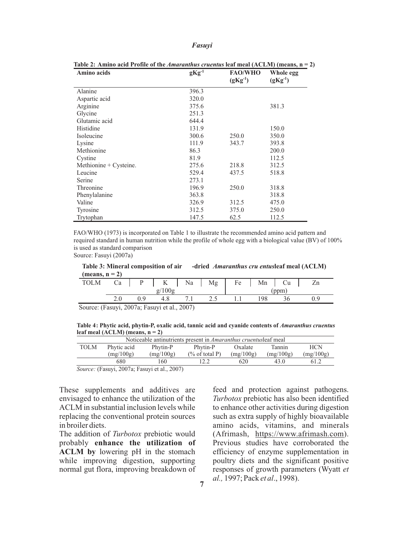#### *Fasuyi*

| Amino acids            | $gKg^{-1}$ | <b>FAO/WHO</b> | Whole egg    |
|------------------------|------------|----------------|--------------|
|                        |            | $(gKg^{-1})$   | $(gKg^{-1})$ |
| Alanine                | 396.3      |                |              |
| Aspartic acid          | 320.0      |                |              |
| Arginine               | 375.6      |                | 381.3        |
| Glycine                | 251.3      |                |              |
| Glutamic acid          | 644.4      |                |              |
| Histidine              | 131.9      |                | 150.0        |
| Isoleucine             | 300.6      | 250.0          | 350.0        |
| Lysine                 | 111.9      | 343.7          | 393.8        |
| Methionine             | 86.3       |                | 200.0        |
| Cystine                | 81.9       |                | 112.5        |
| Methionine + Cysteine. | 275.6      | 218.8          | 312.5        |
| Leucine                | 529.4      | 437.5          | 518.8        |
| Serine                 | 273.1      |                |              |
| Threonine              | 196.9      | 250.0          | 318.8        |
| Phenylalanine          | 363.8      |                | 318.8        |
| Valine                 | 326.9      | 312.5          | 475.0        |
| Tyrosine               | 312.5      | 375.0          | 250.0        |
| Trytophan              | 147.5      | 62.5           | 112.5        |

**Table 2: Amino acid Profile of the** *Amaranthus cruentus* **leaf meal (ACLM) (means, n = 2)**

FAO/WHO (1973) is incorporated on Table 1 to illustrate the recommended amino acid pattern and required standard in human nutrition while the profile of whole egg with a biological value (BV) of 100% is used as standard comparison

Source: Fasuyi (2007a)

**Table 3: Mineral composition of air -dried** *Amaranthus cru entus***leaf meal (ACLM) (means, n = 2)**

| <b>TOLM</b> | Ca     | $\mathbf{P}$                       | K                                                   | Na  | Mg   | Fe  | Mn  | Сu | Zn  |
|-------------|--------|------------------------------------|-----------------------------------------------------|-----|------|-----|-----|----|-----|
|             | 100g   |                                    |                                                     |     |      | ppm |     |    |     |
|             | $\sim$ | ) ዓ                                | 4.8                                                 | . . | ر. د | .   | 198 |    | 0.9 |
| $\sim$      |        | $\cdot$ $\wedge$ $\wedge$ $\wedge$ | $\cdot$ $\cdot$ $\cdot$ $\sim$ $\sim$ $\sim$ $\sim$ |     |      |     |     |    |     |

Source: (Fasuyi, 2007a; Fasuyi et al., 2007)

**Table 4: Phytic acid, phytin-P, oxalic acid, tannic acid and cyanide contents of** *Amaranthus cruentus* **leaf meal (ACLM) (means, n = 2)**

| Noticeable antinutrients present in <i>Amaranthus cruentus</i> leaf meal |                                                                        |           |                           |           |           |           |  |  |
|--------------------------------------------------------------------------|------------------------------------------------------------------------|-----------|---------------------------|-----------|-----------|-----------|--|--|
| <b>TOLM</b>                                                              | Phytic acid<br><b>HCN</b><br>Phytin-P<br>Phytin-P<br>Oxalate<br>Tannin |           |                           |           |           |           |  |  |
|                                                                          | (mg/100g)                                                              | (mg/100g) | $\frac{6}{6}$ of total P) | (mg/100g) | (mg/100g) | (mg/100g) |  |  |
|                                                                          | 680                                                                    | 160       | 12.2                      | 620       | 43.0      | 61.2      |  |  |

*Source:* (Fasuyi, 2007a; Fasuyi et al., 2007)

These supplements and additives are envisaged to enhance the utilization of the ACLM in substantial inclusion levels while replacing the conventional protein sources in broiler diets.

The addition of *Turbotox* prebiotic would probably **enhance the utilization of ACLM by** lowering pH in the stomach while improving digestion, supporting normal gut flora, improving breakdown of feed and protection against pathogens. *Turbotox* prebiotic has also been identified to enhance other activities during digestion such as extra supply of highly bioavailable amino acids, vitamins, and minerals (Afrimash, https://www.afrimash.com). Previous studies have corroborated the efficiency of enzyme supplementation in poultry diets and the significant positive responses of growth parameters (Wyatt *et al.,* 1997; Pack *et al*., 1998).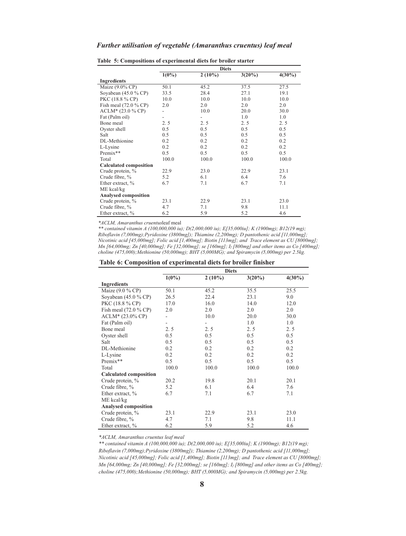#### *Further utilisation of vegetable (Amaranthus cruentus) leaf meal*

|                               |          | <b>Diets</b> |           |           |
|-------------------------------|----------|--------------|-----------|-----------|
|                               | $1(0\%)$ | $2(10\%)$    | $3(20\%)$ | $4(30\%)$ |
| <b>Ingredients</b>            |          |              |           |           |
| Maize (9.0% CP)               | 50.1     | 45.2         | 37.5      | 27.5      |
| Soyabean $(45.0 %$ CP)        | 33.5     | 28.4         | 27.1      | 19.1      |
| PKC (18.8 % CP)               | 10.0     | 10.0         | 10.0      | 10.0      |
| Fish meal $(72.0 % CP)$       | 2.0      | 2.0          | 2.0       | 2.0       |
| $ACLM*(23.0\% CP)$            | ۰        | 10.0         | 20.0      | 30.0      |
| Fat (Palm oil)                |          |              | 1.0       | 1.0       |
| Bone meal                     | 2.5      | 2.5          | 2.5       | 2.5       |
| Oyster shell                  | 0.5      | 0.5          | 0.5       | 0.5       |
| Salt                          | 0.5      | 0.5          | 0.5       | 0.5       |
| DL-Methionine                 | 0.2      | 0.2          | 0.2       | 0.2       |
| L-Lysine                      | 0.2      | 0.2          | 0.2       | 0.2       |
| Premix**                      | 0.5      | 0.5          | 0.5       | 0.5       |
| Total                         | 100.0    | 100.0        | 100.0     | 100.0     |
| <b>Calculated composition</b> |          |              |           |           |
| Crude protein, %              | 22.9     | 23.0         | 22.9      | 23.1      |
| Crude fibre, %                | 5.2      | 6.1          | 6.4       | 7.6       |
| Ether extract, %              | 6.7      | 7.1          | 6.7       | 7.1       |
| ME kcal/kg                    |          |              |           |           |
| <b>Analysed composition</b>   |          |              |           |           |
| Crude protein, %              | 23.1     | 22.9         | 23.1      | 23.0      |
| Crude fibre, %                | 4.7      | 7.1          | 9.8       | 11.1      |
| Ether extract, %              | 6.2      | 5.9          | 5.2       | 4.6       |

|  |  | Table 5: Compositions of experimental diets for broiler starter |  |  |  |  |  |  |
|--|--|-----------------------------------------------------------------|--|--|--|--|--|--|
|--|--|-----------------------------------------------------------------|--|--|--|--|--|--|

*\*ACLM, Amaranthus cruentus*leaf meal

*\*\* contained vitamin A (100,000,000 iu); D(2,000,000 iu); E[35,000iu]; K (1900mg); B12(19 mg); Riboflavin (7,000mg);Pyridoxine (3800mg]); Thiamine (2,200mg); D pantothenic acid [11,000mg]; Nicotinic acid [45,000mg]; Folic acid [1,400mg]; Biotin [113mg]; and Trace element as CU [8000mg]; Mn [64,000mg; Zn [40,000mg]; Fe [32,000mg]; se [160mg]; I<sup>2</sup> [800mg] and other items as Co [400mg]; choline (475,000);Methionine (50,000mg); BHT (5,000MG); and Spiramycin (5,000mg) per 2.5kg.* 

#### **Table 6: Composition of experimental diets for broiler finisher**

|                               | <b>Diets</b> |                          |           |           |  |
|-------------------------------|--------------|--------------------------|-----------|-----------|--|
|                               | $1(0\%)$     | $2(10\%)$                | $3(20\%)$ | $4(30\%)$ |  |
| <b>Ingredients</b>            |              |                          |           |           |  |
| Maize $(9.0 % CP)$            | 50.1         | 45.2                     | 35.5      | 25.5      |  |
| Soyabean $(45.0 %$ CP)        | 26.5         | 22.4                     | 23.1      | 9.0       |  |
| PKC (18.8 % CP)               | 17.0         | 16.0                     | 14.0      | 12.0      |  |
| Fish meal $(72.0 % CP)$       | 2.0          | 2.0                      | 2.0       | 2.0       |  |
| $ACLM*(23.0\% CP)$            |              | 10.0                     | 20.0      | 30.0      |  |
| Fat (Palm oil)                |              | $\overline{\phantom{0}}$ | 1.0       | 1.0       |  |
| Bone meal                     | 2.5          | 2.5                      | 2.5       | 2.5       |  |
| Oyster shell                  | 0.5          | 0.5                      | 0.5       | 0.5       |  |
| Salt                          | 0.5          | 0.5                      | 0.5       | 0.5       |  |
| DL-Methionine                 | 0.2          | 0.2                      | 0.2       | 0.2       |  |
| L-Lysine                      | 0.2          | 0.2                      | 0.2       | 0.2       |  |
| Premix**                      | 0.5          | 0.5                      | 0.5       | 0.5       |  |
| Total                         | 100.0        | 100.0                    | 100.0     | 100.0     |  |
| <b>Calculated composition</b> |              |                          |           |           |  |
| Crude protein, %              | 20.2         | 19.8                     | 20.1      | 20.1      |  |
| Crude fibre, %                | 5.2          | 6.1                      | 6.4       | 7.6       |  |
| Ether extract, %              | 6.7          | 7.1                      | 6.7       | 7.1       |  |
| ME kcal/kg                    |              |                          |           |           |  |
| <b>Analysed composition</b>   |              |                          |           |           |  |
| Crude protein, %              | 23.1         | 22.9                     | 23.1      | 23.0      |  |
| Crude fibre, %                | 4.7          | 7.1                      | 9.8       | 11.1      |  |
| Ether extract, %              | 6.2          | 5.9                      | 5.2       | 4.6       |  |

*\*ACLM, Amaranthus cruentus leaf meal*

*\*\* contained vitamin A (100,000,000 iu); D(2,000,000 iu); E[35,000iu]; K (1900mg); B12(19 mg); Riboflavin (7,000mg);Pyridoxine (3800mg]); Thiamine (2,200mg); D pantothenic acid [11,000mg]; Nicotinic acid [45,000mg]; Folic acid [1,400mg]; Biotin [113mg]; and Trace element as CU [8000mg]; Mn [64,000mg; Zn [40,000mg]; Fe [32,000mg]; se [160mg]; I<sup>2</sup> [800mg] and other items as Co [400mg]; choline (475,000);Methionine (50,000mg); BHT (5,000MG); and Spiramycin (5,000mg) per 2.5kg.*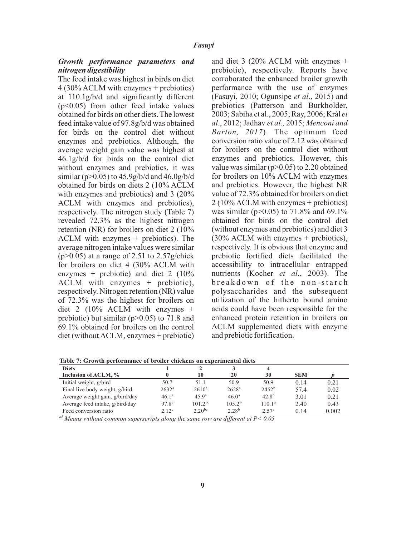### *Growth performance parameters and nitrogen digestibility*

The feed intake was highest in birds on diet 4 (30% ACLM with enzymes + prebiotics) at 110.1g/b/d and significantly different (p<0.05) from other feed intake values obtained for birds on other diets. The lowest feed intake value of 97.8g/b/d was obtained for birds on the control diet without enzymes and prebiotics. Although, the average weight gain value was highest at 46.1g/b/d for birds on the control diet without enzymes and prebiotics, it was similar ( $p > 0.05$ ) to  $45.9g/b/d$  and  $46.0g/b/d$ obtained for birds on diets 2 (10% ACLM with enzymes and prebiotics) and 3 (20% ACLM with enzymes and prebiotics), respectively. The nitrogen study (Table 7) revealed 72.3% as the highest nitrogen retention (NR) for broilers on diet 2 (10% ACLM with enzymes + prebiotics). The average nitrogen intake values were similar  $(p>0.05)$  at a range of 2.51 to 2.57g/chick for broilers on diet 4 (30% ACLM with enzymes + prebiotic) and diet  $2 \ (10\%$ ACLM with enzymes + prebiotic), respectively. Nitrogen retention (NR) value of 72.3% was the highest for broilers on diet 2 (10% ACLM with enzymes  $+$ prebiotic) but similar  $(p>0.05)$  to 71.8 and 69.1% obtained for broilers on the control diet (without ACLM, enzymes + prebiotic) and diet 3 (20% ACLM with enzymes + prebiotic), respectively. Reports have corroborated the enhanced broiler growth performance with the use of enzymes (Fasuyi, 2010; Ogunsipe *et al*., 2015) and prebiotics (Patterson and Burkholder, 2003; Sabiha et al., 2005; Ray, 2006; Král *et al*., 2012; Jadhav *et al.,* 2015; *Menconi and Barton, 2017*). The optimum feed conversion ratio value of 2.12 was obtained for broilers on the control diet without enzymes and prebiotics. However, this value was similar  $(p>0.05)$  to 2.20 obtained for broilers on 10% ACLM with enzymes and prebiotics. However, the highest NR value of 72.3% obtained for broilers on diet 2 (10% ACLM with enzymes + prebiotics) was similar (p>0.05) to 71.8% and 69.1% obtained for birds on the control diet (without enzymes and prebiotics) and diet 3  $(30\%$  ACLM with enzymes + prebiotics), respectively. It is obvious that enzyme and prebiotic fortified diets facilitated the accessibility to intracellular entrapped nutrients (Kocher *et al*., 2003). The breakdown of the non-starch polysaccharides and the subsequent utilization of the hitherto bound amino acids could have been responsible for the enhanced protein retention in broilers on ACLM supplemented diets with enzyme and prebiotic fortification.

**Table 7: Growth performance of broiler chickens on experimental diets**

| <b>Diets</b>                    |                   |                   |                    | 4                  |            |       |  |  |  |  |
|---------------------------------|-------------------|-------------------|--------------------|--------------------|------------|-------|--|--|--|--|
| Inclusion of ACLM, %            |                   | 10                | 20                 | 30                 | <b>SEM</b> |       |  |  |  |  |
| Initial weight, g/bird          | 50.7              | 51.1              | 50.9               | 50.9               | 0.14       | 0.21  |  |  |  |  |
| Final live body weight, g/bird  | $2632^{\rm a}$    | $2610^a$          | $2628^{\rm a}$     | $2452^b$           | 57.4       | 0.02  |  |  |  |  |
| Average weight gain, g/bird/day | 46.1 <sup>a</sup> | 45.9 <sup>a</sup> | $46.0^{\circ}$     | 42.8 <sup>b</sup>  | 3.01       | 0.21  |  |  |  |  |
| Average feed intake, g/bird/day | 97.8 <sup>c</sup> | $101.2^{bc}$      | 105.2 <sup>b</sup> | 110.1 <sup>a</sup> | 2.40       | 0.43  |  |  |  |  |
| Feed conversion ratio           | $2.12^{\circ}$    | $2.20^{bc}$       | $2.28^{b}$         | 2.57 <sup>a</sup>  | 0.14       | 0.002 |  |  |  |  |

*ab Means without common superscripts along the same row are different at P< 0.05*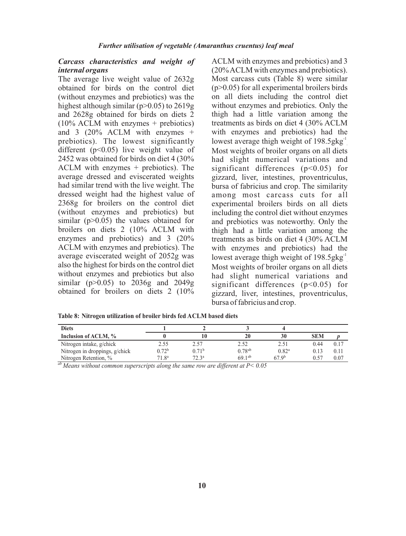### *Carcass characteristics and weight of internal organs*

The average live weight value of 2632g obtained for birds on the control diet (without enzymes and prebiotics) was the highest although similar ( $p > 0.05$ ) to 2619g and 2628g obtained for birds on diets 2  $(10\%$  ACLM with enzymes + prebiotics) and 3 (20% ACLM with enzymes + prebiotics). The lowest significantly different ( $p<0.05$ ) live weight value of 2452 was obtained for birds on diet 4 (30% ACLM with enzymes + prebiotics). The average dressed and eviscerated weights had similar trend with the live weight. The dressed weight had the highest value of 2368g for broilers on the control diet (without enzymes and prebiotics) but similar ( $p > 0.05$ ) the values obtained for broilers on diets 2 (10% ACLM with enzymes and prebiotics) and 3 (20% ACLM with enzymes and prebiotics). The average eviscerated weight of 2052g was also the highest for birds on the control diet without enzymes and prebiotics but also similar ( $p > 0.05$ ) to 2036g and 2049g obtained for broilers on diets 2 (10%

ACLM with enzymes and prebiotics) and 3 (20% ACLM with enzymes and prebiotics). Most carcass cuts (Table 8) were similar (p>0.05) for all experimental broilers birds on all diets including the control diet without enzymes and prebiotics. Only the thigh had a little variation among the treatments as birds on diet 4 (30% ACLM with enzymes and prebiotics) had the lowest average thigh weight of  $198.5$ gkg<sup>-1</sup> Most weights of broiler organs on all diets had slight numerical variations and significant differences  $(p<0.05)$  for gizzard, liver, intestines, proventriculus, bursa of fabricius and crop. The similarity among most carcass cuts for all experimental broilers birds on all diets including the control diet without enzymes and prebiotics was noteworthy. Only the thigh had a little variation among the treatments as birds on diet 4 (30% ACLM with enzymes and prebiotics) had the lowest average thigh weight of  $198.5$ gkg<sup>-1</sup> Most weights of broiler organs on all diets had slight numerical variations and significant differences  $(p<0.05)$  for gizzard, liver, intestines, proventriculus, bursa of fabricius and crop.

| <b>Diets</b>                   |                   |                   |             |                   |            |      |
|--------------------------------|-------------------|-------------------|-------------|-------------------|------------|------|
| Inclusion of ACLM, %           |                   |                   |             | 30                | <b>SEM</b> |      |
| Nitrogen intake, g/chick       |                   | 2.57              | 2.52        | $2.5^{\circ}$     | 0.44       | 0.17 |
| Nitrogen in droppings, g/chick | 0.72 <sup>b</sup> | 0.71 <sup>b</sup> | $0.78^{ab}$ | 0.82 <sup>a</sup> | 0.13       | 0.1' |
| Nitrogen Retention, %          | 71. 8ª            | $72.3^{\rm a}$    | $69.1^{ab}$ | 67.9 <sup>b</sup> | 0.57       | 0.07 |
|                                |                   |                   |             |                   |            |      |

*ab Means without common superscripts along the same row are different at P< 0.05*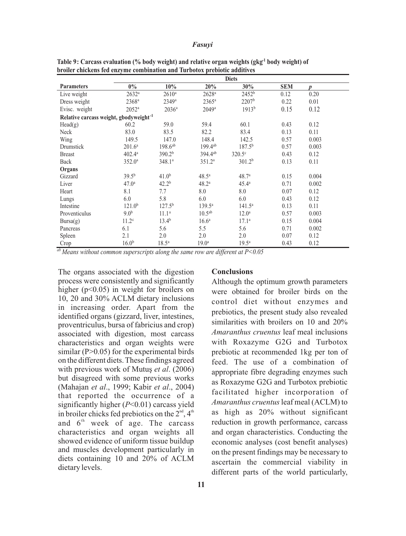#### *Fasuyi*

|                                                    | <b>Diets</b>       |                    |                     |                    |            |                  |  |
|----------------------------------------------------|--------------------|--------------------|---------------------|--------------------|------------|------------------|--|
| <b>Parameters</b>                                  | $0\%$              | 10%                | 20%                 | 30%                | <b>SEM</b> | $\boldsymbol{D}$ |  |
| Live weight                                        | $2632^{\rm a}$     | $2610^a$           | 2628 <sup>a</sup>   | 2452 <sup>b</sup>  | 0.12       | 0.20             |  |
| Dress weight                                       | 2368 <sup>a</sup>  | 2349a              | $2365^{\circ}$      | 2207 <sup>b</sup>  | 0.22       | 0.01             |  |
| Evisc. weight                                      | $2052^{\rm a}$     | 2036 <sup>a</sup>  | $2049$ <sup>a</sup> | 1913 <sup>b</sup>  | 0.15       | 0.12             |  |
| Relative carcass weight, gbodyweight <sup>-1</sup> |                    |                    |                     |                    |            |                  |  |
| Head(g)                                            | 60.2               | 59.0               | 59.4                | 60.1               | 0.43       | 0.12             |  |
| Neck                                               | 83.0               | 83.5               | 82.2                | 83.4               | 0.13       | 0.11             |  |
| Wing                                               | 149.5              | 147.0              | 148.4               | 142.5              | 0.57       | 0.003            |  |
| Drumstick                                          | 201.6 <sup>a</sup> | $198.6^{ab}$       | $199.4^{ab}$        | $187.5^{b}$        | 0.57       | 0.003            |  |
| <b>Breast</b>                                      | 402.4a             | 390.2 <sup>b</sup> | $394.4^{ab}$        | $320.5^{\circ}$    | 0.43       | 0.12             |  |
| Back                                               | 352.0 <sup>a</sup> | 348.1 <sup>a</sup> | 351.2 <sup>a</sup>  | 301.2 <sup>b</sup> | 0.13       | 0.11             |  |
| Organs                                             |                    |                    |                     |                    |            |                  |  |
| Gizzard                                            | $39.5^{b}$         | 41.0 <sup>b</sup>  | $48.5^{\circ}$      | 48.7 <sup>a</sup>  | 0.15       | 0.004            |  |
| Liver                                              | 47.0 <sup>a</sup>  | 42.2 <sup>b</sup>  | 48.2 <sup>a</sup>   | $45.4^{\circ}$     | 0.71       | 0.002            |  |
| Heart                                              | 8.1                | 7.7                | 8.0                 | 8.0                | 0.07       | 0.12             |  |
| Lungs                                              | 6.0                | 5.8                | 6.0                 | 6.0                | 0.43       | 0.12             |  |
| Intestine                                          | 121.0 <sup>b</sup> | $127.5^{b}$        | $139.5^{\circ}$     | $141.5^a$          | 0.13       | 0.11             |  |
| Proventiculus                                      | 9.0 <sup>b</sup>   | 11.1 <sup>a</sup>  | 10.5 <sup>ab</sup>  | $12.0^{\circ}$     | 0.57       | 0.003            |  |
| Bursa(g)                                           | 11.2 <sup>c</sup>  | $13.4^{b}$         | $16.6^{\circ}$      | 17.1 <sup>a</sup>  | 0.15       | 0.004            |  |
| Pancreas                                           | 6.1                | 5.6                | 5.5                 | 5.6                | 0.71       | 0.002            |  |
| Spleen                                             | 2.1                | 2.0                | 2.0                 | 2.0                | 0.07       | 0.12             |  |
| Crop                                               | $16.0^{b}$         | $18.5^{\circ}$     | $19.0^{\rm a}$      | $19.5^{\circ}$     | 0.43       | 0.12             |  |

**Table 9: Carcass evaluation (% body weight) and relative organ weights (gkg -1 body weight) of broiler chickens fed enzyme combination and Turbotox prebiotic additives**

*ab Means without common superscripts along the same row are dif erent at P<0.05*

The organs associated with the digestion process were consistently and significantly higher (p<0.05) in weight for broilers on 10, 20 and 30% ACLM dietary inclusions in increasing order. Apart from the identified organs (gizzard, liver, intestines, proventriculus, bursa of fabricius and crop) associated with digestion, most carcass characteristics and organ weights were similar ( $P > 0.05$ ) for the experimental birds on the different diets. These findings agreed with previous work of Mutus *et al.* (2006) but disagreed with some previous works (Mahajan *et al*., 1999; Kabir *et al*., 2004) that reported the occurrence of a significantly higher (*P*<0.01) carcass yield in broiler chicks fed prebiotics on the  $2<sup>nd</sup>$ ,  $4<sup>th</sup>$ and  $6<sup>th</sup>$  week of age. The carcass characteristics and organ weights all showed evidence of uniform tissue buildup and muscles development particularly in diets containing 10 and 20% of ACLM dietary levels.

### **Conclusions**

Although the optimum growth parameters were obtained for broiler birds on the control diet without enzymes and prebiotics, the present study also revealed similarities with broilers on 10 and 20% *Amaranthus cruentus* leaf meal inclusions with Roxazyme G2G and Turbotox prebiotic at recommended 1kg per ton of feed. The use of a combination of appropriate fibre degrading enzymes such as Roxazyme G2G and Turbotox prebiotic facilitated higher incorporation of *Amaranthus cruentus*leaf meal (ACLM) to as high as 20% without significant reduction in growth performance, carcass and organ characteristics. Conducting the economic analyses (cost benefit analyses) on the present findings may be necessary to ascertain the commercial viability in different parts of the world particularly,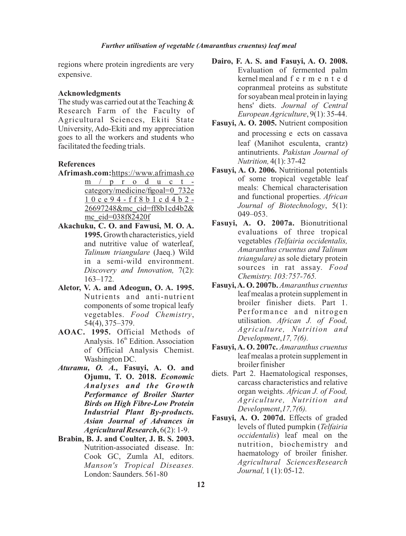regions where protein ingredients are very expensive.

#### **Acknowledgments**

The study was carried out at the Teaching & Research Farm of the Faculty of Agricultural Sciences, Ekiti State University, Ado-Ekiti and my appreciation goes to all the workers and students who facilitated the feeding trials.

#### **References**

**Afrimash.com:**https://www.afrimash.co

 $m$  /  $p$  r  $o$  d  $u$  c t  $category/medicine/figoal=0$  732e 1 0 c e 9 4 - f f 8 b 1 c d 4 b 2 - 26697248&mc\_cid=ff8b1cd4b2& mc\_eid=038f82420f

- **Akachuku, C. O. and Fawusi, M. O. A. 1995.** Growth characteristics, yield and nutritive value of waterleaf, *Talinum triangulare* (Jaeq.) Wild in a semi-wild environment. *Discovery and Innovation,* 7(2): 163–172.
- **Aletor, V. A. and Adeogun, O. A. 1995.** Nutrients and anti-nutrient components of some tropical leafy vegetables. *Food Chemistry*, 54(4), 375–379.
- **AOAC. 1995.** Official Methods of Analysis. 16<sup>th</sup> Edition. Association of Official Analysis Chemist. Washington DC.
- *Aturamu, O. A.,* **Fasuyi, A. O. and Ojumu, T. O. 2018.** *Economic Analyses and the Growth Performance of Broiler Starter Birds on High Fibre-Low Protein Industrial Plant By-products. Asian Journal of Advances in Agricultural Research***,** 6(2): 1-9.
- **Brabin, B. J. and Coulter, J. B. S. 2003.** Nutrition-associated disease. In: Cook GC, Zumla AI, editors. *Manson's Tropical Diseases.* London: Saunders. 561-80
- **Dairo, F. A. S. and Fasuyi, A. O. 2008.**  Evaluation of fermented palm kernel meal and f e r m e n t e d copranmeal proteins as substitute for soyabean meal protein in laying hens' diets. *Journal of Central European Agriculture*, 9(1): 35-44.
- **Fasuyi, A. O. 2005.** Nutrient composition and processing e ects on cassava leaf (Manihot esculenta, crantz) antinutrients. *Pakistan Journal of Nutrition,* 4(1): 37-42
- **Fasuyi, A. O. 2006.** Nutritional potentials of some tropical vegetable leaf meals: Chemical characterisation and functional properties. *African Journal of Biotechnology*, 5(1): 049–053.
- **Fasuyi, A. O. 2007a.** Bionutritional evaluations of three tropical vegetables *(Telfairia occidentalis, Amaranthus cruentus and Talinum triangulare)* as sole dietary protein sources in rat assay. *Food Chemistry. 103:757-765.*
- **Fasuyi, A. O. 2007b.** *Amaranthus cruentus* leaf mealas a protein supplement in broiler finisher diets. Part 1. Performance and nitrogen utilisation. *African J. of Food, Agriculture, Nutrition and Development*,*17, 7(6).*
- **Fasuyi, A. O. 2007c.** *Amaranthus cruentus* leaf mealas a protein supplement in broiler finisher
- diets. Part 2. Haematological responses, carcass characteristics and relative organ weights. *African J. of Food, Agriculture, Nutrition and Development*,*17,7(6).*
- **Fasuyi, A. O. 2007d.** Effects of graded levels of fluted pumpkin (*Telfairia occidentalis*) leaf meal on the nutrition, biochemistry and haematology of broiler finisher. *Agricultural SciencesResearch Journal,* 1 (1): 05-12.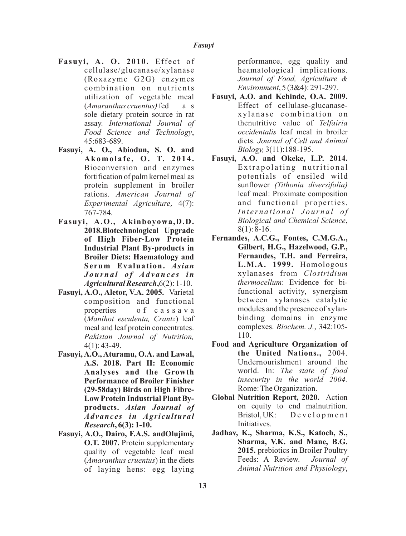- **Fasuyi, A. O. 2010.** Effect of cellulase/glucanase/xylanase (Roxazyme G2G) enzymes combination on nutrients utilization of vegetable meal (*Amaranthus cruentus)*fed a s sole dietary protein source in rat assay. *International Journal of Food Science and Technology*, 45:683-689.
- **Fasuyi, A. O., Abiodun, S. O. and Akomo l a f e , O. T. 2 0 1 4 .** Bioconversion and enzymes fortification of palm kernel meal as protein supplement in broiler rations. *American Journal of Experimental Agriculture*, 4(7): 767-784.
- **Fasuyi, A.O., Akinboyowa,D.D. 2018.Biotechnological Upgrade of High Fiber-Low Protein Industrial Plant By-products in Broiler Diets: Haematology and Serum Evaluation.** *Asian J o u r n a l o f Ad v a n c e s i n Agricultural Research***,**6(2): 1-10.
- **Fasuyi, A.O., Aletor, V.A. 2005.** Varietal composition and functional properties o f c a s s a v a (*Manihot esculenta, Crantz*) leaf meal and leaf protein concentrates. *Pakistan Journal of Nutrition,*  $4(1): 43-49.$
- **Fasuyi, A.O., Aturamu, O.A. and Lawal, A.S. 2018. Part II: Economic Analyses and the Growth Performance of Broiler Finisher (29-58day) Birds on High Fibre-Low Protein Industrial Plant Byproducts.** *Asian Journal of Advanc e s in Agri cultural Research***, 6(3): 1-10.**
- **Fasuyi, A.O., Dairo, F.A.S. andOlujimi, O.T. 2007.** Protein supplementary quality of vegetable leaf meal (*Amaranthus cruentus*) in the diets of laying hens: egg laying

performance, egg quality and heamatological implications. *Journal of Food, Agriculture & Environment*, 5 (3&4): 291-297.

- **Fasuyi, A.O. and Kehinde, O.A. 2009.** Effect of cellulase-glucanasexylanase combination on thenutritive value of *Telfairia occidentalis* leaf meal in broiler diets. *Journal of Cell and Animal Biology,* 3(11):188-195.
- **Fasuyi, A.O. and Okeke, I..P. 2014.** Extrapolating nutritional potentials of ensiled wild sunflower *(Tithonia diversifolia)* leaf meal: Proximate composition and functional properties. *I n t e r n a t i o n a l J o u r n a l o f Biological and Chemical Science*, 8(1): 8-16.
- **Fernandes, A.C.G., Fontes, C.M.G.A., Gilbert, H.G., Hazelwood, G.P., Fernandes, T.H. and Ferreira, L.M.A. 1999.** Homologous xylanases from *Clostridium thermocellum*: Evidence for bifunctional activity, synergism between xylanases catalytic modules and the presence of xylanbinding domains in enzyme complexes. *Biochem. J.*, 342:105- 110.
- **Food and Agriculture Organization of the United Nations.,** 2004. Undernourishment around the world. In: *The state of food insecurity in the world 2004.* Rome: The Organization.
- **Global Nutrition Report, 2020.** Action on equity to end malnutrition. Bristol, UK: Development Initiatives.
- **Jadhav, K., Sharma, K.S., Katoch, S., Sharma, V.K. and Mane, B.G. 2015.** prebiotics in Broiler Poultry Feeds: A Review. *Journal of Animal Nutrition and Physiology*,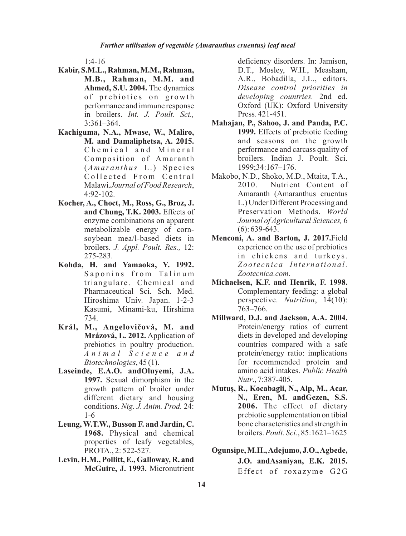1:4-16

- **Kabir, S.M.L., Rahman, M.M., Rahman, M.B., Rahman, M.M. and Ahmed, S.U. 2004.** The dynamics of prebiotics on growth performance and immune response in broilers. *Int. J. Poult. Sci.,* 3:361–364.
- **Kachiguma, N.A., Mwase, W., Maliro, M. and Damaliphetsa, A. 2015.** Chemical and Mineral Composition of Amaranth (*Ama r a n t h u s* L.) Sp e c i e s Collected From Central Malawi.*Journal of Food Research*, 4:92-102.
- **Kocher, A., Choct, M., Ross, G., Broz, J. and Chung, T.K. 2003.** Effects of enzyme combinations on apparent metabolizable energy of cornsoybean mea/l-based diets in broilers. *J. Appl. Poult. Res.,* 12: 275-283.
- **Kohda, H. and Yamaoka, Y. 1992.** Saponins from Talinum triangulare. Chemical and Pharmaceutical Sci. Sch. Med. Hiroshima Univ. Japan. 1-2-3 Kasumi, Minami-ku, Hirshima 734.
- **Král, M., Angelovièová, M. and Mrázová, L. 2012.** Application of prebiotics in poultry production. *A n i m a l S c i e n c e a n d Biotechnologies*, 45 (1).
- **Laseinde, E.A.O. andOluyemi, J.A. 1997.** Sexual dimorphism in the growth pattern of broiler under different dietary and housing conditions. *Nig. J. Anim. Prod.* 24: 1-6
- **Leung, W.T.W., Busson F. and Jardin, C. 1968.** Physical and chemical properties of leafy vegetables, PROTA., 2: 522-527.
- **Levin, H.M., Pollitt, E., Galloway, R. and McGuire, J. 1993.** Micronutrient

deficiency disorders. In: Jamison, D.T., Mosley, W.H., Measham, A.R., Bobadilla, J.L., editors. *Disease control priorities in developing countries.* 2nd ed. Oxford (UK): Oxford University Press. 421-451.

- **Mahajan, P., Sahoo, J. and Panda, P.C. 1999.** Effects of prebiotic feeding and seasons on the growth performance and carcass quality of broilers. Indian J. Poult. Sci. 1999;34:167–176.
- Makobo, N.D., Shoko, M.D., Mtaita, T.A., 2010. Nutrient Content of Amaranth (Amaranthus cruentus L.) Under Different Processing and Preservation Methods. *World Journal of Agricultural Sciences,* 6 (6): 639-643.
- **Menconi, A. and Barton, J. 2017.** Field experience on the use of prebiotics in chickens and turkeys.  $Zootecnica$  *International. Zootecnica.com*.
- **Michaelsen, K.F. and Henrik, F. 1998.** Complementary feeding: a global perspective. *Nutrition*, 14(10): 763–766.
- **Millward, D.J. and Jackson, A.A. 2004.** Protein/energy ratios of current diets in developed and developing countries compared with a safe protein/energy ratio: implications for recommended protein and amino acid intakes. *Public Health Nutr*., 7:387-405.
- **Mutuº, R., Kocabagli, N., Alp, M., Acar, N., Eren, M. andGezen, S.S. 2006.** The effect of dietary prebiotic supplementation on tibial bone characteristics and strength in broilers. *Poult. Sci.*, 85:1621–1625

## **Ogunsipe, M.H., Adejumo, J.O., Agbede, J.O. andAsaniyan, E.K. 2015.** Effect of roxazyme G2G